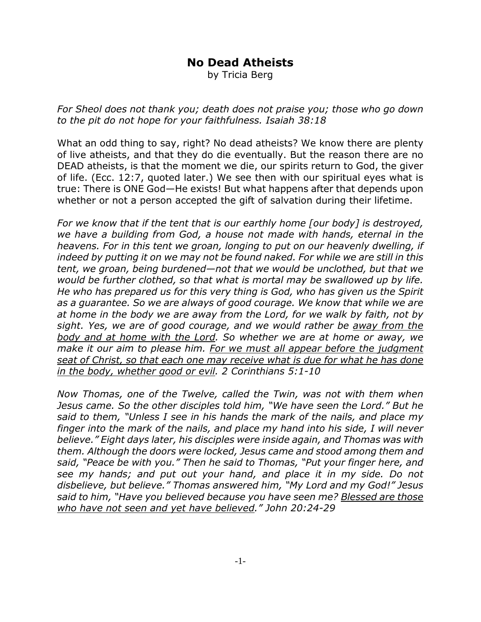## **No Dead Atheists**

by Tricia Berg

*For Sheol does not thank you; death does not praise you; those who go down to the pit do not hope for your faithfulness. Isaiah 38:18*

What an odd thing to say, right? No dead atheists? We know there are plenty of live atheists, and that they do die eventually. But the reason there are no DEAD atheists, is that the moment we die, our spirits return to God, the giver of life. (Ecc. 12:7, quoted later.) We see then with our spiritual eyes what is true: There is ONE God—He exists! But what happens after that depends upon whether or not a person accepted the gift of salvation during their lifetime.

*For we know that if the tent that is our earthly home [our body] is destroyed, we have a building from God, a house not made with hands, eternal in the heavens. For in this tent we groan, longing to put on our heavenly dwelling, if indeed by putting it on we may not be found naked. For while we are still in this tent, we groan, being burdened—not that we would be unclothed, but that we would be further clothed, so that what is mortal may be swallowed up by life. He who has prepared us for this very thing is God, who has given us the Spirit as a guarantee. So we are always of good courage. We know that while we are at home in the body we are away from the Lord, for we walk by faith, not by sight. Yes, we are of good courage, and we would rather be away from the body and at home with the Lord. So whether we are at home or away, we make it our aim to please him. For we must all appear before the judgment seat of Christ, so that each one may receive what is due for what he has done in the body, whether good or evil. 2 Corinthians 5:1-10*

*Now Thomas, one of the Twelve, called the Twin, was not with them when Jesus came. So the other disciples told him, "We have seen the Lord." But he said to them, "Unless I see in his hands the mark of the nails, and place my finger into the mark of the nails, and place my hand into his side, I will never believe." Eight days later, his disciples were inside again, and Thomas was with them. Although the doors were locked, Jesus came and stood among them and said, "Peace be with you." Then he said to Thomas, "Put your finger here, and see my hands; and put out your hand, and place it in my side. Do not disbelieve, but believe." Thomas answered him, "My Lord and my God!" Jesus said to him, "Have you believed because you have seen me? Blessed are those who have not seen and yet have believed." John 20:24-29*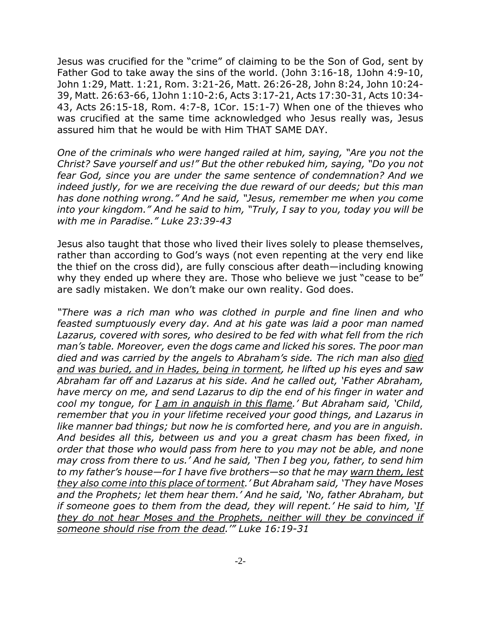Jesus was crucified for the "crime" of claiming to be the Son of God, sent by Father God to take away the sins of the world. (John 3:16-18, 1John 4:9-10, John 1:29, Matt. 1:21, Rom. 3:21-26, Matt. 26:26-28, John 8:24, John 10:24- 39, Matt. 26:63-66, 1John 1:10-2:6, Acts 3:17-21, Acts 17:30-31, Acts 10:34- 43, Acts 26:15-18, Rom. 4:7-8, 1Cor. 15:1-7) When one of the thieves who was crucified at the same time acknowledged who Jesus really was, Jesus assured him that he would be with Him THAT SAME DAY.

*One of the criminals who were hanged railed at him, saying, "Are you not the Christ? Save yourself and us!" But the other rebuked him, saying, "Do you not fear God, since you are under the same sentence of condemnation? And we indeed justly, for we are receiving the due reward of our deeds; but this man has done nothing wrong." And he said, "Jesus, remember me when you come into your kingdom." And he said to him, "Truly, I say to you, today you will be with me in Paradise." Luke 23:39-43*

Jesus also taught that those who lived their lives solely to please themselves, rather than according to God's ways (not even repenting at the very end like the thief on the cross did), are fully conscious after death—including knowing why they ended up where they are. Those who believe we just "cease to be" are sadly mistaken. We don't make our own reality. God does.

*"There was a rich man who was clothed in purple and fine linen and who feasted sumptuously every day. And at his gate was laid a poor man named Lazarus, covered with sores, who desired to be fed with what fell from the rich man's table. Moreover, even the dogs came and licked his sores. The poor man died and was carried by the angels to Abraham's side. The rich man also died and was buried, and in Hades, being in torment, he lifted up his eyes and saw Abraham far off and Lazarus at his side. And he called out, 'Father Abraham, have mercy on me, and send Lazarus to dip the end of his finger in water and cool my tongue, for I am in anguish in this flame.' But Abraham said, 'Child, remember that you in your lifetime received your good things, and Lazarus in like manner bad things; but now he is comforted here, and you are in anguish. And besides all this, between us and you a great chasm has been fixed, in order that those who would pass from here to you may not be able, and none may cross from there to us.' And he said, 'Then I beg you, father, to send him to my father's house—for I have five brothers—so that he may warn them, lest they also come into this place of torment.' But Abraham said, 'They have Moses and the Prophets; let them hear them.' And he said, 'No, father Abraham, but if someone goes to them from the dead, they will repent.' He said to him, 'If they do not hear Moses and the Prophets, neither will they be convinced if someone should rise from the dead.'" Luke 16:19-31*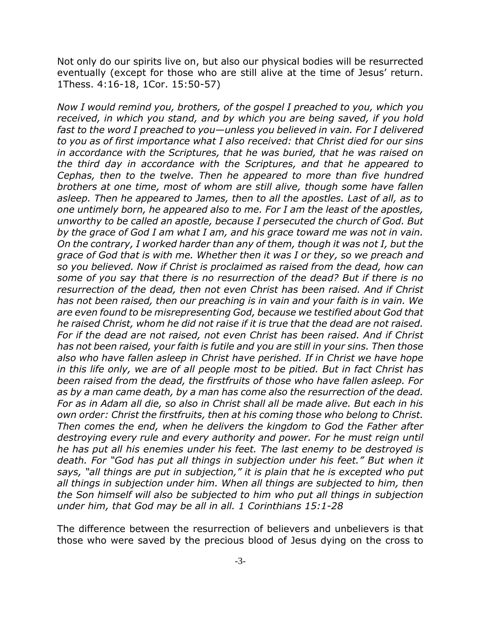Not only do our spirits live on, but also our physical bodies will be resurrected eventually (except for those who are still alive at the time of Jesus' return. 1Thess. 4:16-18, 1Cor. 15:50-57)

*Now I would remind you, brothers, of the gospel I preached to you, which you received, in which you stand, and by which you are being saved, if you hold fast to the word I preached to you—unless you believed in vain. For I delivered to you as of first importance what I also received: that Christ died for our sins in accordance with the Scriptures, that he was buried, that he was raised on the third day in accordance with the Scriptures, and that he appeared to Cephas, then to the twelve. Then he appeared to more than five hundred brothers at one time, most of whom are still alive, though some have fallen asleep. Then he appeared to James, then to all the apostles. Last of all, as to one untimely born, he appeared also to me. For I am the least of the apostles, unworthy to be called an apostle, because I persecuted the church of God. But by the grace of God I am what I am, and his grace toward me was not in vain. On the contrary, I worked harder than any of them, though it was not I, but the grace of God that is with me. Whether then it was I or they, so we preach and so you believed. Now if Christ is proclaimed as raised from the dead, how can some of you say that there is no resurrection of the dead? But if there is no resurrection of the dead, then not even Christ has been raised. And if Christ has not been raised, then our preaching is in vain and your faith is in vain. We are even found to be misrepresenting God, because we testified about God that he raised Christ, whom he did not raise if it is true that the dead are not raised. For if the dead are not raised, not even Christ has been raised. And if Christ has not been raised, your faith is futile and you are still in your sins. Then those also who have fallen asleep in Christ have perished. If in Christ we have hope in this life only, we are of all people most to be pitied. But in fact Christ has been raised from the dead, the firstfruits of those who have fallen asleep. For as by a man came death, by a man has come also the resurrection of the dead. For as in Adam all die, so also in Christ shall all be made alive. But each in his own order: Christ the firstfruits, then at his coming those who belong to Christ. Then comes the end, when he delivers the kingdom to God the Father after destroying every rule and every authority and power. For he must reign until he has put all his enemies under his feet. The last enemy to be destroyed is death. For "God has put all things in subjection under his feet." But when it says, "all things are put in subjection," it is plain that he is excepted who put all things in subjection under him. When all things are subjected to him, then the Son himself will also be subjected to him who put all things in subjection under him, that God may be all in all. 1 Corinthians 15:1-28*

The difference between the resurrection of believers and unbelievers is that those who were saved by the precious blood of Jesus dying on the cross to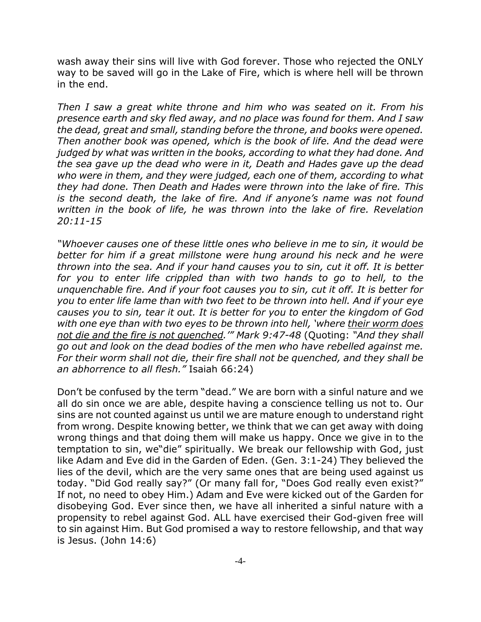wash away their sins will live with God forever. Those who rejected the ONLY way to be saved will go in the Lake of Fire, which is where hell will be thrown in the end.

*Then I saw a great white throne and him who was seated on it. From his presence earth and sky fled away, and no place was found for them. And I saw the dead, great and small, standing before the throne, and books were opened. Then another book was opened, which is the book of life. And the dead were judged by what was written in the books, according to what they had done. And the sea gave up the dead who were in it, Death and Hades gave up the dead who were in them, and they were judged, each one of them, according to what they had done. Then Death and Hades were thrown into the lake of fire. This is the second death, the lake of fire. And if anyone's name was not found written in the book of life, he was thrown into the lake of fire. Revelation 20:11-15*

*"Whoever causes one of these little ones who believe in me to sin, it would be better for him if a great millstone were hung around his neck and he were thrown into the sea. And if your hand causes you to sin, cut it off. It is better for you to enter life crippled than with two hands to go to hell, to the unquenchable fire. And if your foot causes you to sin, cut it off. It is better for you to enter life lame than with two feet to be thrown into hell. And if your eye causes you to sin, tear it out. It is better for you to enter the kingdom of God with one eye than with two eyes to be thrown into hell, 'where their worm does not die and the fire is not quenched.'" Mark 9:47-48* (Quoting: *"And they shall go out and look on the dead bodies of the men who have rebelled against me. For their worm shall not die, their fire shall not be quenched, and they shall be an abhorrence to all flesh."* Isaiah 66:24)

Don't be confused by the term "dead." We are born with a sinful nature and we all do sin once we are able, despite having a conscience telling us not to. Our sins are not counted against us until we are mature enough to understand right from wrong. Despite knowing better, we think that we can get away with doing wrong things and that doing them will make us happy. Once we give in to the temptation to sin, we"die" spiritually. We break our fellowship with God, just like Adam and Eve did in the Garden of Eden. (Gen. 3:1-24) They believed the lies of the devil, which are the very same ones that are being used against us today. "Did God really say?" (Or many fall for, "Does God really even exist?" If not, no need to obey Him.) Adam and Eve were kicked out of the Garden for disobeying God. Ever since then, we have all inherited a sinful nature with a propensity to rebel against God. ALL have exercised their God-given free will to sin against Him. But God promised a way to restore fellowship, and that way is Jesus. (John 14:6)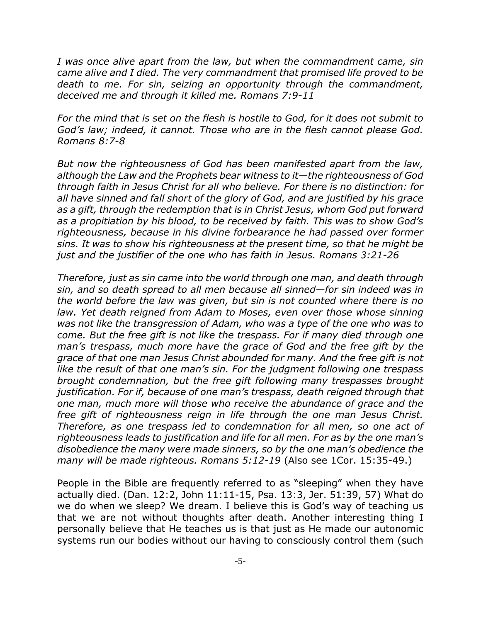*I was once alive apart from the law, but when the commandment came, sin came alive and I died. The very commandment that promised life proved to be death to me. For sin, seizing an opportunity through the commandment, deceived me and through it killed me. Romans 7:9-11*

*For the mind that is set on the flesh is hostile to God, for it does not submit to God's law; indeed, it cannot. Those who are in the flesh cannot please God. Romans 8:7-8*

*But now the righteousness of God has been manifested apart from the law, although the Law and the Prophets bear witness to it—the righteousness of God through faith in Jesus Christ for all who believe. For there is no distinction: for all have sinned and fall short of the glory of God, and are justified by his grace as a gift, through the redemption that is in Christ Jesus, whom God put forward as a propitiation by his blood, to be received by faith. This was to show God's righteousness, because in his divine forbearance he had passed over former sins. It was to show his righteousness at the present time, so that he might be just and the justifier of the one who has faith in Jesus. Romans 3:21-26*

*Therefore, just as sin came into the world through one man, and death through sin, and so death spread to all men because all sinned—for sin indeed was in the world before the law was given, but sin is not counted where there is no law. Yet death reigned from Adam to Moses, even over those whose sinning was not like the transgression of Adam, who was a type of the one who was to come. But the free gift is not like the trespass. For if many died through one man's trespass, much more have the grace of God and the free gift by the grace of that one man Jesus Christ abounded for many. And the free gift is not like the result of that one man's sin. For the judgment following one trespass brought condemnation, but the free gift following many trespasses brought justification. For if, because of one man's trespass, death reigned through that one man, much more will those who receive the abundance of grace and the free gift of righteousness reign in life through the one man Jesus Christ. Therefore, as one trespass led to condemnation for all men, so one act of righteousness leads to justification and life for all men. For as by the one man's disobedience the many were made sinners, so by the one man's obedience the many will be made righteous. Romans 5:12-19* (Also see 1Cor. 15:35-49.)

People in the Bible are frequently referred to as "sleeping" when they have actually died. (Dan. 12:2, John 11:11-15, Psa. 13:3, Jer. 51:39, 57) What do we do when we sleep? We dream. I believe this is God's way of teaching us that we are not without thoughts after death. Another interesting thing I personally believe that He teaches us is that just as He made our autonomic systems run our bodies without our having to consciously control them (such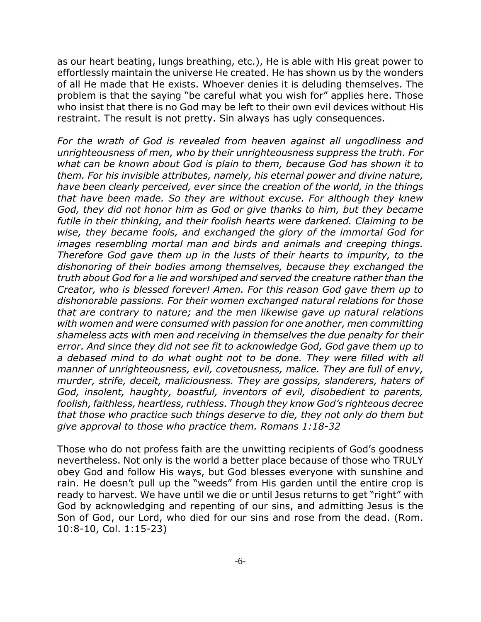as our heart beating, lungs breathing, etc.), He is able with His great power to effortlessly maintain the universe He created. He has shown us by the wonders of all He made that He exists. Whoever denies it is deluding themselves. The problem is that the saying "be careful what you wish for" applies here. Those who insist that there is no God may be left to their own evil devices without His restraint. The result is not pretty. Sin always has ugly consequences.

*For the wrath of God is revealed from heaven against all ungodliness and unrighteousness of men, who by their unrighteousness suppress the truth. For what can be known about God is plain to them, because God has shown it to them. For his invisible attributes, namely, his eternal power and divine nature, have been clearly perceived, ever since the creation of the world, in the things that have been made. So they are without excuse. For although they knew God, they did not honor him as God or give thanks to him, but they became futile in their thinking, and their foolish hearts were darkened. Claiming to be wise, they became fools, and exchanged the glory of the immortal God for images resembling mortal man and birds and animals and creeping things. Therefore God gave them up in the lusts of their hearts to impurity, to the dishonoring of their bodies among themselves, because they exchanged the truth about God for a lie and worshiped and served the creature rather than the Creator, who is blessed forever! Amen. For this reason God gave them up to dishonorable passions. For their women exchanged natural relations for those that are contrary to nature; and the men likewise gave up natural relations with women and were consumed with passion for one another, men committing shameless acts with men and receiving in themselves the due penalty for their error. And since they did not see fit to acknowledge God, God gave them up to a debased mind to do what ought not to be done. They were filled with all manner of unrighteousness, evil, covetousness, malice. They are full of envy, murder, strife, deceit, maliciousness. They are gossips, slanderers, haters of God, insolent, haughty, boastful, inventors of evil, disobedient to parents, foolish, faithless, heartless, ruthless. Though they know God's righteous decree that those who practice such things deserve to die, they not only do them but give approval to those who practice them. Romans 1:18-32*

Those who do not profess faith are the unwitting recipients of God's goodness nevertheless. Not only is the world a better place because of those who TRULY obey God and follow His ways, but God blesses everyone with sunshine and rain. He doesn't pull up the "weeds" from His garden until the entire crop is ready to harvest. We have until we die or until Jesus returns to get "right" with God by acknowledging and repenting of our sins, and admitting Jesus is the Son of God, our Lord, who died for our sins and rose from the dead. (Rom. 10:8-10, Col. 1:15-23)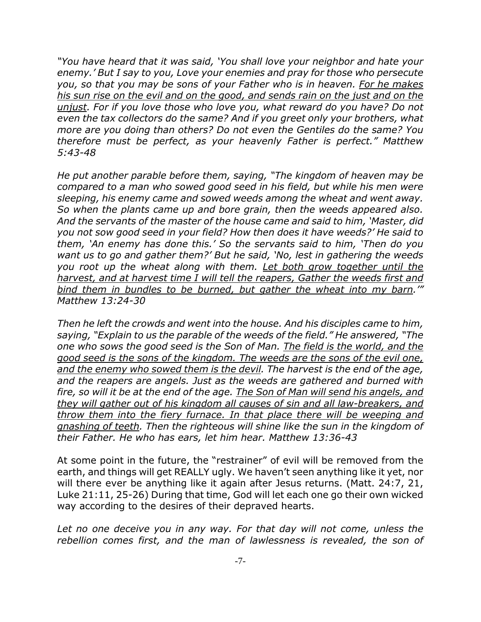*"You have heard that it was said, 'You shall love your neighbor and hate your enemy.' But I say to you, Love your enemies and pray for those who persecute you, so that you may be sons of your Father who is in heaven. For he makes his sun rise on the evil and on the good, and sends rain on the just and on the unjust. For if you love those who love you, what reward do you have? Do not even the tax collectors do the same? And if you greet only your brothers, what more are you doing than others? Do not even the Gentiles do the same? You therefore must be perfect, as your heavenly Father is perfect." Matthew 5:43-48*

*He put another parable before them, saying, "The kingdom of heaven may be compared to a man who sowed good seed in his field, but while his men were sleeping, his enemy came and sowed weeds among the wheat and went away. So when the plants came up and bore grain, then the weeds appeared also. And the servants of the master of the house came and said to him, 'Master, did you not sow good seed in your field? How then does it have weeds?' He said to them, 'An enemy has done this.' So the servants said to him, 'Then do you want us to go and gather them?' But he said, 'No, lest in gathering the weeds you root up the wheat along with them. Let both grow together until the harvest, and at harvest time I will tell the reapers, Gather the weeds first and bind them in bundles to be burned, but gather the wheat into my barn.'" Matthew 13:24-30*

*Then he left the crowds and went into the house. And his disciples came to him, saying, "Explain to us the parable of the weeds of the field." He answered, "The one who sows the good seed is the Son of Man. The field is the world, and the good seed is the sons of the kingdom. The weeds are the sons of the evil one, and the enemy who sowed them is the devil. The harvest is the end of the age, and the reapers are angels. Just as the weeds are gathered and burned with fire, so will it be at the end of the age. The Son of Man will send his angels, and they will gather out of his kingdom all causes of sin and all law-breakers, and throw them into the fiery furnace. In that place there will be weeping and gnashing of teeth. Then the righteous will shine like the sun in the kingdom of their Father. He who has ears, let him hear. Matthew 13:36-43*

At some point in the future, the "restrainer" of evil will be removed from the earth, and things will get REALLY ugly. We haven't seen anything like it yet, nor will there ever be anything like it again after Jesus returns. (Matt. 24:7, 21, Luke 21:11, 25-26) During that time, God will let each one go their own wicked way according to the desires of their depraved hearts.

*Let no one deceive you in any way. For that day will not come, unless the rebellion comes first, and the man of lawlessness is revealed, the son of*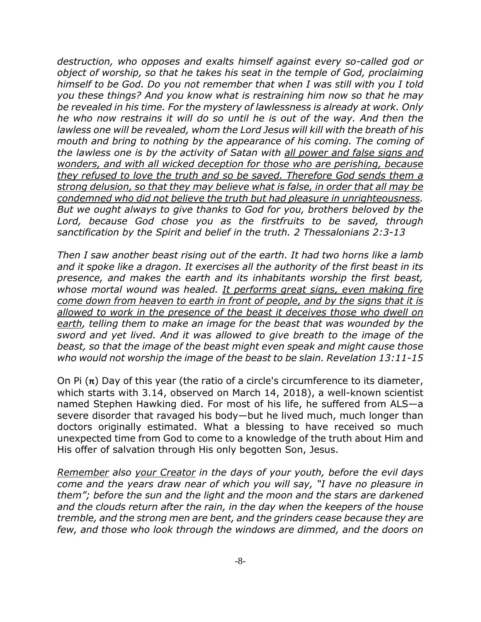*destruction, who opposes and exalts himself against every so-called god or object of worship, so that he takes his seat in the temple of God, proclaiming himself to be God. Do you not remember that when I was still with you I told you these things? And you know what is restraining him now so that he may be revealed in his time. For the mystery of lawlessness is already at work. Only he who now restrains it will do so until he is out of the way. And then the lawless one will be revealed, whom the Lord Jesus will kill with the breath of his mouth and bring to nothing by the appearance of his coming. The coming of the lawless one is by the activity of Satan with all power and false signs and wonders, and with all wicked deception for those who are perishing, because they refused to love the truth and so be saved. Therefore God sends them a strong delusion, so that they may believe what is false, in order that all may be condemned who did not believe the truth but had pleasure in unrighteousness. But we ought always to give thanks to God for you, brothers beloved by the Lord, because God chose you as the firstfruits to be saved, through sanctification by the Spirit and belief in the truth. 2 Thessalonians 2:3-13*

*Then I saw another beast rising out of the earth. It had two horns like a lamb and it spoke like a dragon. It exercises all the authority of the first beast in its presence, and makes the earth and its inhabitants worship the first beast, whose mortal wound was healed. It performs great signs, even making fire come down from heaven to earth in front of people, and by the signs that it is allowed to work in the presence of the beast it deceives those who dwell on earth, telling them to make an image for the beast that was wounded by the sword and yet lived. And it was allowed to give breath to the image of the beast, so that the image of the beast might even speak and might cause those who would not worship the image of the beast to be slain. Revelation 13:11-15*

On Pi (**π**) Day of this year (the ratio of a circle's circumference to its diameter, which starts with 3.14, observed on March 14, 2018), a well-known scientist named Stephen Hawking died. For most of his life, he suffered from ALS—a severe disorder that ravaged his body—but he lived much, much longer than doctors originally estimated. What a blessing to have received so much unexpected time from God to come to a knowledge of the truth about Him and His offer of salvation through His only begotten Son, Jesus.

*Remember also your Creator in the days of your youth, before the evil days come and the years draw near of which you will say, "I have no pleasure in them"; before the sun and the light and the moon and the stars are darkened and the clouds return after the rain, in the day when the keepers of the house tremble, and the strong men are bent, and the grinders cease because they are few, and those who look through the windows are dimmed, and the doors on*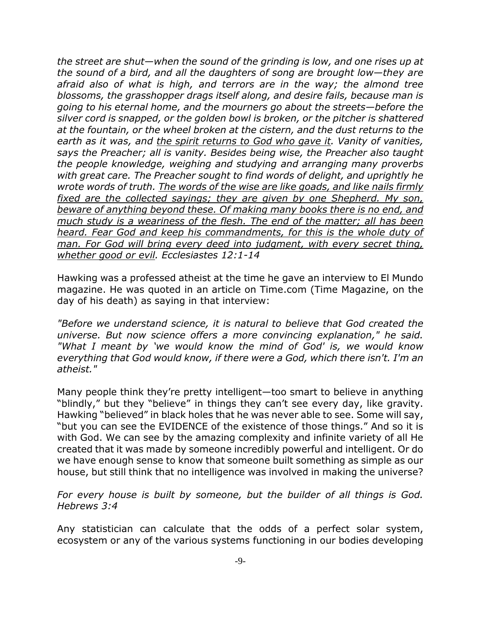*the street are shut—when the sound of the grinding is low, and one rises up at the sound of a bird, and all the daughters of song are brought low—they are afraid also of what is high, and terrors are in the way; the almond tree blossoms, the grasshopper drags itself along, and desire fails, because man is going to his eternal home, and the mourners go about the streets—before the silver cord is snapped, or the golden bowl is broken, or the pitcher is shattered at the fountain, or the wheel broken at the cistern, and the dust returns to the earth as it was, and the spirit returns to God who gave it. Vanity of vanities, says the Preacher; all is vanity. Besides being wise, the Preacher also taught the people knowledge, weighing and studying and arranging many proverbs with great care. The Preacher sought to find words of delight, and uprightly he wrote words of truth. The words of the wise are like goads, and like nails firmly fixed are the collected sayings; they are given by one Shepherd. My son, beware of anything beyond these. Of making many books there is no end, and much study is a weariness of the flesh. The end of the matter; all has been heard. Fear God and keep his commandments, for this is the whole duty of man. For God will bring every deed into judgment, with every secret thing, whether good or evil. Ecclesiastes 12:1-14* 

Hawking was a professed atheist at the time he gave an interview to El Mundo magazine. He was quoted in an article on Time.com (Time Magazine, on the day of his death) as saying in that interview:

*"Before we understand science, it is natural to believe that God created the universe. But now science offers a more convincing explanation," he said. "What I meant by 'we would know the mind of God' is, we would know everything that God would know, if there were a God, which there isn't. I'm an atheist."*

Many people think they're pretty intelligent—too smart to believe in anything "blindly," but they "believe" in things they can't see every day, like gravity. Hawking "believed" in black holes that he was never able to see. Some will say, "but you can see the EVIDENCE of the existence of those things." And so it is with God. We can see by the amazing complexity and infinite variety of all He created that it was made by someone incredibly powerful and intelligent. Or do we have enough sense to know that someone built something as simple as our house, but still think that no intelligence was involved in making the universe?

*For every house is built by someone, but the builder of all things is God. Hebrews 3:4*

Any statistician can calculate that the odds of a perfect solar system, ecosystem or any of the various systems functioning in our bodies developing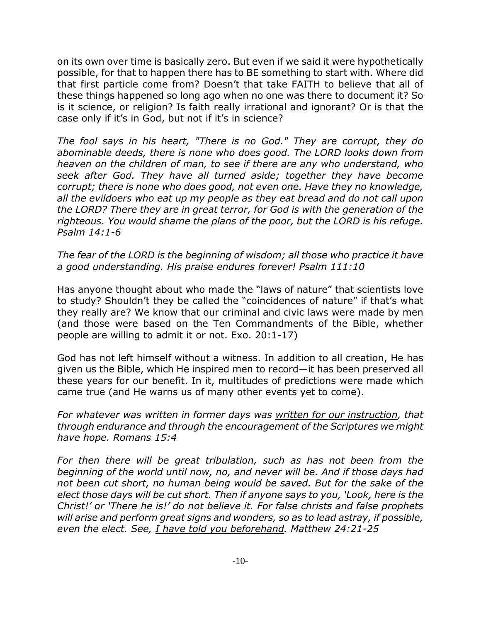on its own over time is basically zero. But even if we said it were hypothetically possible, for that to happen there has to BE something to start with. Where did that first particle come from? Doesn't that take FAITH to believe that all of these things happened so long ago when no one was there to document it? So is it science, or religion? Is faith really irrational and ignorant? Or is that the case only if it's in God, but not if it's in science?

*The fool says in his heart, "There is no God." They are corrupt, they do abominable deeds, there is none who does good. The LORD looks down from heaven on the children of man, to see if there are any who understand, who seek after God. They have all turned aside; together they have become corrupt; there is none who does good, not even one. Have they no knowledge, all the evildoers who eat up my people as they eat bread and do not call upon the LORD? There they are in great terror, for God is with the generation of the righteous. You would shame the plans of the poor, but the LORD is his refuge. Psalm 14:1-6*

*The fear of the LORD is the beginning of wisdom; all those who practice it have a good understanding. His praise endures forever! Psalm 111:10*

Has anyone thought about who made the "laws of nature" that scientists love to study? Shouldn't they be called the "coincidences of nature" if that's what they really are? We know that our criminal and civic laws were made by men (and those were based on the Ten Commandments of the Bible, whether people are willing to admit it or not. Exo. 20:1-17)

God has not left himself without a witness. In addition to all creation, He has given us the Bible, which He inspired men to record—it has been preserved all these years for our benefit. In it, multitudes of predictions were made which came true (and He warns us of many other events yet to come).

*For whatever was written in former days was written for our instruction, that through endurance and through the encouragement of the Scriptures we might have hope. Romans 15:4*

*For then there will be great tribulation, such as has not been from the beginning of the world until now, no, and never will be. And if those days had not been cut short, no human being would be saved. But for the sake of the elect those days will be cut short. Then if anyone says to you, 'Look, here is the Christ!' or 'There he is!' do not believe it. For false christs and false prophets will arise and perform great signs and wonders, so as to lead astray, if possible, even the elect. See, I have told you beforehand. Matthew 24:21-25*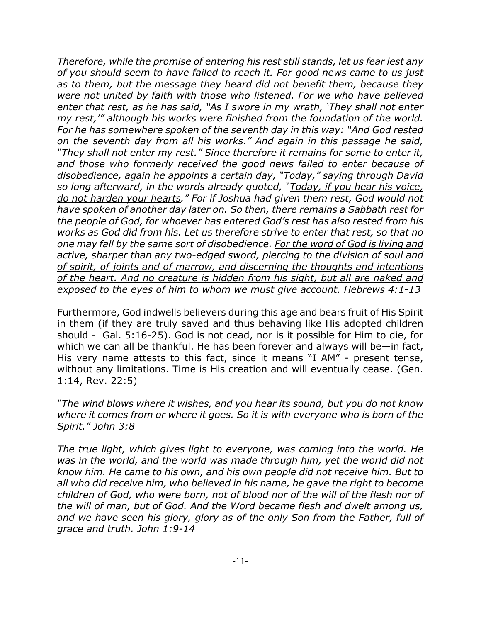*Therefore, while the promise of entering his rest still stands, let us fear lest any of you should seem to have failed to reach it. For good news came to us just as to them, but the message they heard did not benefit them, because they were not united by faith with those who listened. For we who have believed enter that rest, as he has said, "As I swore in my wrath, 'They shall not enter my rest,'" although his works were finished from the foundation of the world. For he has somewhere spoken of the seventh day in this way: "And God rested on the seventh day from all his works." And again in this passage he said, "They shall not enter my rest." Since therefore it remains for some to enter it, and those who formerly received the good news failed to enter because of disobedience, again he appoints a certain day, "Today," saying through David so long afterward, in the words already quoted, "Today, if you hear his voice, do not harden your hearts." For if Joshua had given them rest, God would not have spoken of another day later on. So then, there remains a Sabbath rest for the people of God, for whoever has entered God's rest has also rested from his works as God did from his. Let us therefore strive to enter that rest, so that no one may fall by the same sort of disobedience. For the word of God is living and active, sharper than any two-edged sword, piercing to the division of soul and of spirit, of joints and of marrow, and discerning the thoughts and intentions of the heart. And no creature is hidden from his sight, but all are naked and exposed to the eyes of him to whom we must give account. Hebrews 4:1-13*

Furthermore, God indwells believers during this age and bears fruit of His Spirit in them (if they are truly saved and thus behaving like His adopted children should - Gal. 5:16-25). God is not dead, nor is it possible for Him to die, for which we can all be thankful. He has been forever and always will be—in fact, His very name attests to this fact, since it means "I AM" - present tense, without any limitations. Time is His creation and will eventually cease. (Gen. 1:14, Rev. 22:5)

*"The wind blows where it wishes, and you hear its sound, but you do not know where it comes from or where it goes. So it is with everyone who is born of the Spirit." John 3:8*

*The true light, which gives light to everyone, was coming into the world. He was in the world, and the world was made through him, yet the world did not know him. He came to his own, and his own people did not receive him. But to all who did receive him, who believed in his name, he gave the right to become children of God, who were born, not of blood nor of the will of the flesh nor of the will of man, but of God. And the Word became flesh and dwelt among us, and we have seen his glory, glory as of the only Son from the Father, full of grace and truth. John 1:9-14*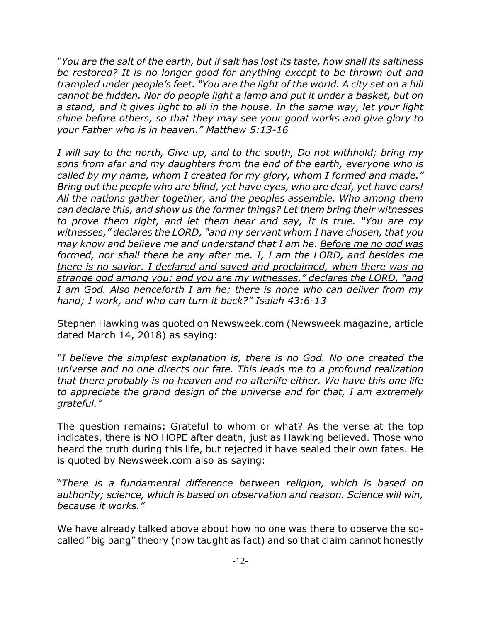*"You are the salt of the earth, but if salt has lost its taste, how shall its saltiness be restored? It is no longer good for anything except to be thrown out and trampled under people's feet. "You are the light of the world. A city set on a hill cannot be hidden. Nor do people light a lamp and put it under a basket, but on a stand, and it gives light to all in the house. In the same way, let your light shine before others, so that they may see your good works and give glory to your Father who is in heaven." Matthew 5:13-16*

*I will say to the north, Give up, and to the south, Do not withhold; bring my sons from afar and my daughters from the end of the earth, everyone who is called by my name, whom I created for my glory, whom I formed and made." Bring out the people who are blind, yet have eyes, who are deaf, yet have ears! All the nations gather together, and the peoples assemble. Who among them can declare this, and show us the former things? Let them bring their witnesses to prove them right, and let them hear and say, It is true. "You are my witnesses," declares the LORD, "and my servant whom I have chosen, that you may know and believe me and understand that I am he. Before me no god was formed, nor shall there be any after me. I, I am the LORD, and besides me there is no savior. I declared and saved and proclaimed, when there was no strange god among you; and you are my witnesses," declares the LORD, "and I am God. Also henceforth I am he; there is none who can deliver from my hand; I work, and who can turn it back?" Isaiah 43:6-13*

Stephen Hawking was quoted on Newsweek.com (Newsweek magazine, article dated March 14, 2018) as saying:

*"I believe the simplest explanation is, there is no God. No one created the universe and no one directs our fate. This leads me to a profound realization that there probably is no heaven and no afterlife either. We have this one life to appreciate the grand design of the universe and for that, I am extremely grateful."*

The question remains: Grateful to whom or what? As the verse at the top indicates, there is NO HOPE after death, just as Hawking believed. Those who heard the truth during this life, but rejected it have sealed their own fates. He is quoted by Newsweek.com also as saying:

"*There is a fundamental difference between religion, which is based on authority; science, which is based on observation and reason. Science will win, because it works."*

We have already talked above about how no one was there to observe the socalled "big bang" theory (now taught as fact) and so that claim cannot honestly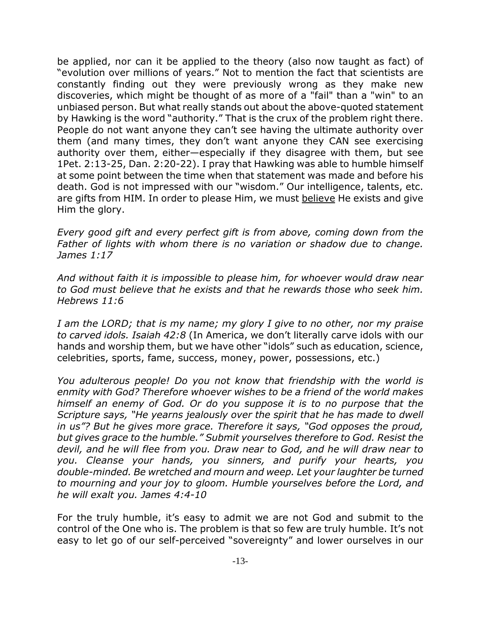be applied, nor can it be applied to the theory (also now taught as fact) of "evolution over millions of years." Not to mention the fact that scientists are constantly finding out they were previously wrong as they make new discoveries, which might be thought of as more of a "fail" than a "win" to an unbiased person. But what really stands out about the above-quoted statement by Hawking is the word "authority." That is the crux of the problem right there. People do not want anyone they can't see having the ultimate authority over them (and many times, they don't want anyone they CAN see exercising authority over them, either—especially if they disagree with them, but see 1Pet. 2:13-25, Dan. 2:20-22). I pray that Hawking was able to humble himself at some point between the time when that statement was made and before his death. God is not impressed with our "wisdom." Our intelligence, talents, etc. are gifts from HIM. In order to please Him, we must believe He exists and give Him the glory.

*Every good gift and every perfect gift is from above, coming down from the Father of lights with whom there is no variation or shadow due to change. James 1:17*

*And without faith it is impossible to please him, for whoever would draw near to God must believe that he exists and that he rewards those who seek him. Hebrews 11:6*

*I am the LORD; that is my name; my glory I give to no other, nor my praise to carved idols. Isaiah 42:8* (In America, we don't literally carve idols with our hands and worship them, but we have other "idols" such as education, science, celebrities, sports, fame, success, money, power, possessions, etc.)

*You adulterous people! Do you not know that friendship with the world is enmity with God? Therefore whoever wishes to be a friend of the world makes himself an enemy of God. Or do you suppose it is to no purpose that the Scripture says, "He yearns jealously over the spirit that he has made to dwell in us"? But he gives more grace. Therefore it says, "God opposes the proud, but gives grace to the humble." Submit yourselves therefore to God. Resist the devil, and he will flee from you. Draw near to God, and he will draw near to you. Cleanse your hands, you sinners, and purify your hearts, you double-minded. Be wretched and mourn and weep. Let your laughter be turned to mourning and your joy to gloom. Humble yourselves before the Lord, and he will exalt you. James 4:4-10*

For the truly humble, it's easy to admit we are not God and submit to the control of the One who is. The problem is that so few are truly humble. It's not easy to let go of our self-perceived "sovereignty" and lower ourselves in our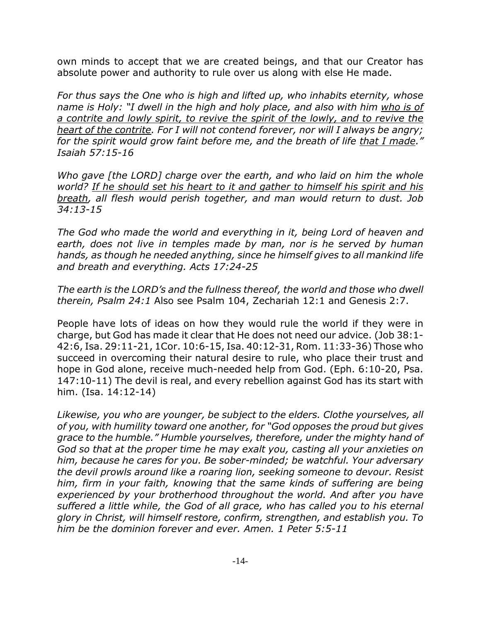own minds to accept that we are created beings, and that our Creator has absolute power and authority to rule over us along with else He made.

*For thus says the One who is high and lifted up, who inhabits eternity, whose name is Holy: "I dwell in the high and holy place, and also with him who is of a contrite and lowly spirit, to revive the spirit of the lowly, and to revive the heart of the contrite. For I will not contend forever, nor will I always be angry; for the spirit would grow faint before me, and the breath of life that I made." Isaiah 57:15-16*

*Who gave [the LORD] charge over the earth, and who laid on him the whole world? If he should set his heart to it and gather to himself his spirit and his breath, all flesh would perish together, and man would return to dust. Job 34:13-15*

*The God who made the world and everything in it, being Lord of heaven and earth, does not live in temples made by man, nor is he served by human hands, as though he needed anything, since he himself gives to all mankind life and breath and everything. Acts 17:24-25*

*The earth is the LORD's and the fullness thereof, the world and those who dwell therein, Psalm 24:1* Also see Psalm 104, Zechariah 12:1 and Genesis 2:7.

People have lots of ideas on how they would rule the world if they were in charge, but God has made it clear that He does not need our advice. (Job 38:1- 42:6, Isa. 29:11-21, 1Cor. 10:6-15, Isa. 40:12-31, Rom. 11:33-36) Those who succeed in overcoming their natural desire to rule, who place their trust and hope in God alone, receive much-needed help from God. (Eph. 6:10-20, Psa. 147:10-11) The devil is real, and every rebellion against God has its start with him. (Isa. 14:12-14)

*Likewise, you who are younger, be subject to the elders. Clothe yourselves, all of you, with humility toward one another, for "God opposes the proud but gives grace to the humble." Humble yourselves, therefore, under the mighty hand of God so that at the proper time he may exalt you, casting all your anxieties on him, because he cares for you. Be sober-minded; be watchful. Your adversary the devil prowls around like a roaring lion, seeking someone to devour. Resist him, firm in your faith, knowing that the same kinds of suffering are being experienced by your brotherhood throughout the world. And after you have suffered a little while, the God of all grace, who has called you to his eternal glory in Christ, will himself restore, confirm, strengthen, and establish you. To him be the dominion forever and ever. Amen. 1 Peter 5:5-11*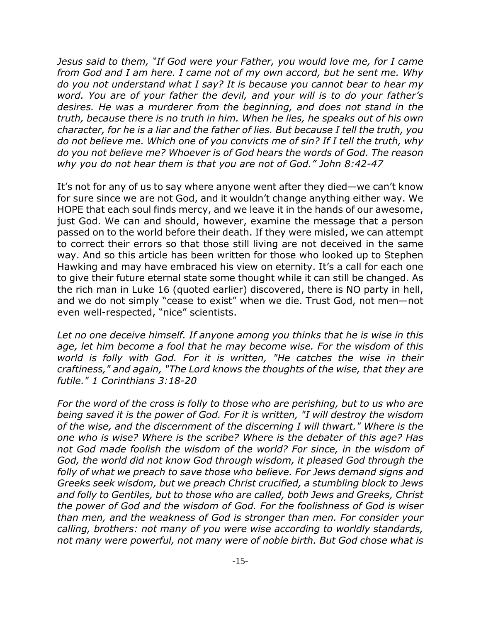*Jesus said to them, "If God were your Father, you would love me, for I came from God and I am here. I came not of my own accord, but he sent me. Why do you not understand what I say? It is because you cannot bear to hear my word. You are of your father the devil, and your will is to do your father's desires. He was a murderer from the beginning, and does not stand in the truth, because there is no truth in him. When he lies, he speaks out of his own character, for he is a liar and the father of lies. But because I tell the truth, you do not believe me. Which one of you convicts me of sin? If I tell the truth, why do you not believe me? Whoever is of God hears the words of God. The reason why you do not hear them is that you are not of God." John 8:42-47*

It's not for any of us to say where anyone went after they died—we can't know for sure since we are not God, and it wouldn't change anything either way. We HOPE that each soul finds mercy, and we leave it in the hands of our awesome, just God. We can and should, however, examine the message that a person passed on to the world before their death. If they were misled, we can attempt to correct their errors so that those still living are not deceived in the same way. And so this article has been written for those who looked up to Stephen Hawking and may have embraced his view on eternity. It's a call for each one to give their future eternal state some thought while it can still be changed. As the rich man in Luke 16 (quoted earlier) discovered, there is NO party in hell, and we do not simply "cease to exist" when we die. Trust God, not men—not even well-respected, "nice" scientists.

*Let no one deceive himself. If anyone among you thinks that he is wise in this age, let him become a fool that he may become wise. For the wisdom of this world is folly with God. For it is written, "He catches the wise in their craftiness," and again, "The Lord knows the thoughts of the wise, that they are futile." 1 Corinthians 3:18-20*

*For the word of the cross is folly to those who are perishing, but to us who are being saved it is the power of God. For it is written, "I will destroy the wisdom of the wise, and the discernment of the discerning I will thwart." Where is the one who is wise? Where is the scribe? Where is the debater of this age? Has not God made foolish the wisdom of the world? For since, in the wisdom of God, the world did not know God through wisdom, it pleased God through the folly of what we preach to save those who believe. For Jews demand signs and Greeks seek wisdom, but we preach Christ crucified, a stumbling block to Jews and folly to Gentiles, but to those who are called, both Jews and Greeks, Christ the power of God and the wisdom of God. For the foolishness of God is wiser than men, and the weakness of God is stronger than men. For consider your calling, brothers: not many of you were wise according to worldly standards, not many were powerful, not many were of noble birth. But God chose what is*